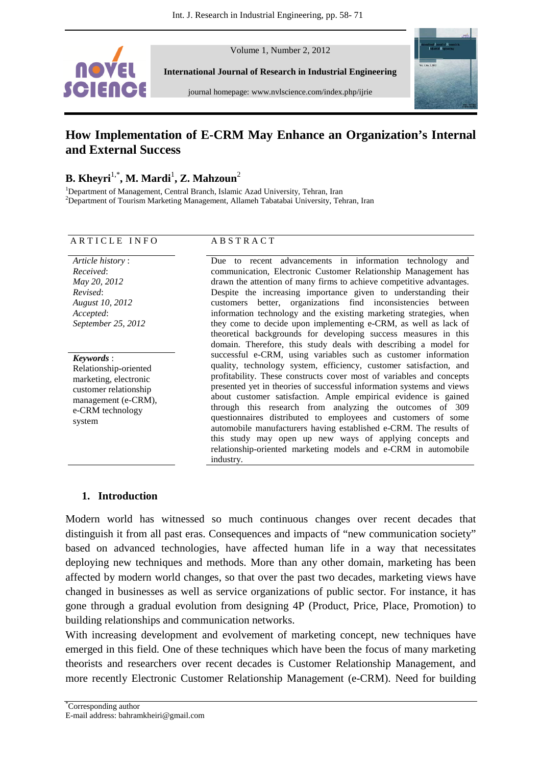

Volume 1, Number 2, 2012

**International Journal of Research in Industrial Engineering** 

journal homepage: www.nvlscience.com/index.php/ijrie



## **How Implementation of E-CRM May Enhance an Organization's Internal and External Success**

## **B. Kheyri**1,\***, M. Mardi**<sup>1</sup> **, Z. Mahzoun**<sup>2</sup>

<sup>1</sup>Department of Management, Central Branch, Islamic Azad University, Tehran, Iran <sup>2</sup>Department of Tourism Marketing Management, Allameh Tabatabai University, Tehran, Iran

#### ARTICLE INFO ABSTRACT

#### *Article history* : *Received*: *May 20, 2012 Revised*: *August 10, 2012 Accepted*: *September 25, 2012*

*Keywords* : Relationship-oriented marketing, electronic customer relationship management (e-CRM), e-CRM technology system

Due to recent advancements in information technology and communication, Electronic Customer Relationship Management has drawn the attention of many firms to achieve competitive advantages. Despite the increasing importance given to understanding their customers better, organizations find inconsistencies between information technology and the existing marketing strategies, when they come to decide upon implementing e-CRM, as well as lack of theoretical backgrounds for developing success measures in this domain. Therefore, this study deals with describing a model for successful e-CRM, using variables such as customer information quality, technology system, efficiency, customer satisfaction, and profitability. These constructs cover most of variables and concepts presented yet in theories of successful information systems and views about customer satisfaction. Ample empirical evidence is gained through this research from analyzing the outcomes of 309 questionnaires distributed to employees and customers of some automobile manufacturers having established e-CRM. The results of this study may open up new ways of applying concepts and relationship-oriented marketing models and e-CRM in automobile industry.

### **1. Introduction**

Modern world has witnessed so much continuous changes over recent decades that distinguish it from all past eras. Consequences and impacts of "new communication society" based on advanced technologies, have affected human life in a way that necessitates deploying new techniques and methods. More than any other domain, marketing has been affected by modern world changes, so that over the past two decades, marketing views have changed in businesses as well as service organizations of public sector. For instance, it has gone through a gradual evolution from designing 4P (Product, Price, Place, Promotion) to building relationships and communication networks.

With increasing development and evolvement of marketing concept, new techniques have emerged in this field. One of these techniques which have been the focus of many marketing theorists and researchers over recent decades is Customer Relationship Management, and more recently Electronic Customer Relationship Management (e-CRM). Need for building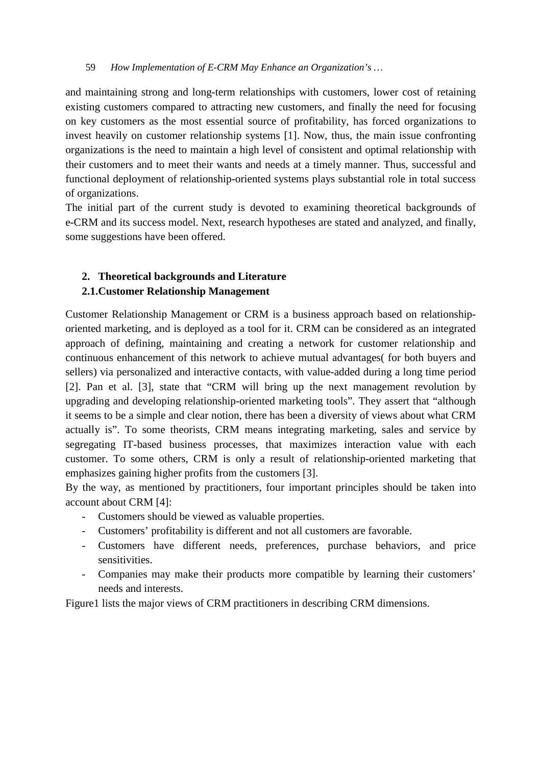and maintaining strong and long-term relationships with customers, lower cost of retaining existing customers compared to attracting new customers, and finally the need for focusing on key customers as the most essential source of profitability, has forced organizations to invest heavily on customer relationship systems [1]. Now, thus, the main issue confronting organizations is the need to maintain a high level of consistent and optimal relationship with their customers and to meet their wants and needs at a timely manner. Thus, successful and functional deployment of relationship-oriented systems plays substantial role in total success of organizations.

The initial part of the current study is devoted to examining theoretical backgrounds of e-CRM and its success model. Next, research hypotheses are stated and analyzed, and finally, some suggestions have been offered.

# **2. Theoretical backgrounds and Literature**

## **2.1.Customer Relationship Management**

Customer Relationship Management or CRM is a business approach based on relationshiporiented marketing, and is deployed as a tool for it. CRM can be considered as an integrated approach of defining, maintaining and creating a network for customer relationship and continuous enhancement of this network to achieve mutual advantages( for both buyers and sellers) via personalized and interactive contacts, with value-added during a long time period [2]. Pan et al. [3], state that "CRM will bring up the next management revolution by upgrading and developing relationship-oriented marketing tools". They assert that "although it seems to be a simple and clear notion, there has been a diversity of views about what CRM actually is". To some theorists, CRM means integrating marketing, sales and service by segregating IT-based business processes, that maximizes interaction value with each customer. To some others, CRM is only a result of relationship-oriented marketing that emphasizes gaining higher profits from the customers [3].

By the way, as mentioned by practitioners, four important principles should be taken into account about CRM [4]:

- Customers should be viewed as valuable properties.
- Customers' profitability is different and not all customers are favorable.
- Customers have different needs, preferences, purchase behaviors, and price sensitivities.
- Companies may make their products more compatible by learning their customers' needs and interests.

Figure1 lists the major views of CRM practitioners in describing CRM dimensions.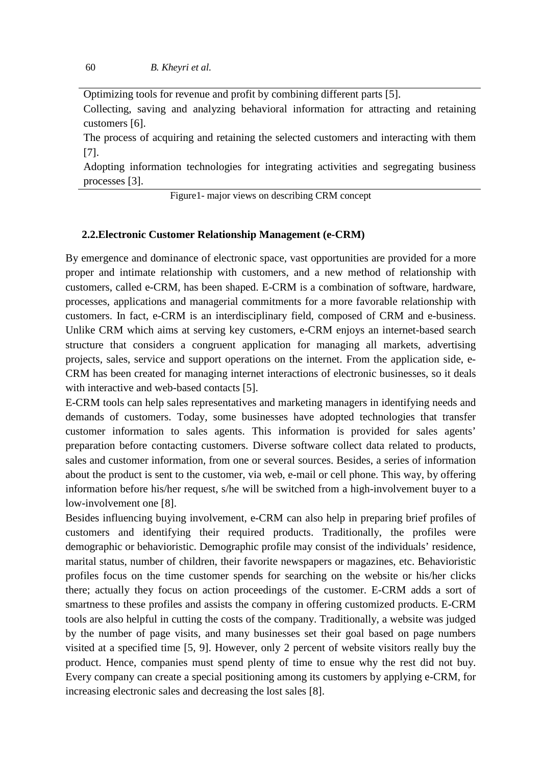Optimizing tools for revenue and profit by combining different parts [5].

Collecting, saving and analyzing behavioral information for attracting and retaining customers [6].

The process of acquiring and retaining the selected customers and interacting with them [7].

Adopting information technologies for integrating activities and segregating business processes [3].

Figure1- major views on describing CRM concept

#### **2.2.Electronic Customer Relationship Management (e-CRM)**

By emergence and dominance of electronic space, vast opportunities are provided for a more proper and intimate relationship with customers, and a new method of relationship with customers, called e-CRM, has been shaped. E-CRM is a combination of software, hardware, processes, applications and managerial commitments for a more favorable relationship with customers. In fact, e-CRM is an interdisciplinary field, composed of CRM and e-business. Unlike CRM which aims at serving key customers, e-CRM enjoys an internet-based search structure that considers a congruent application for managing all markets, advertising projects, sales, service and support operations on the internet. From the application side, e-CRM has been created for managing internet interactions of electronic businesses, so it deals with interactive and web-based contacts [5].

E-CRM tools can help sales representatives and marketing managers in identifying needs and demands of customers. Today, some businesses have adopted technologies that transfer customer information to sales agents. This information is provided for sales agents' preparation before contacting customers. Diverse software collect data related to products, sales and customer information, from one or several sources. Besides, a series of information about the product is sent to the customer, via web, e-mail or cell phone. This way, by offering information before his/her request, s/he will be switched from a high-involvement buyer to a low-involvement one [8].

Besides influencing buying involvement, e-CRM can also help in preparing brief profiles of customers and identifying their required products. Traditionally, the profiles were demographic or behavioristic. Demographic profile may consist of the individuals' residence, marital status, number of children, their favorite newspapers or magazines, etc. Behavioristic profiles focus on the time customer spends for searching on the website or his/her clicks there; actually they focus on action proceedings of the customer. E-CRM adds a sort of smartness to these profiles and assists the company in offering customized products. E-CRM tools are also helpful in cutting the costs of the company. Traditionally, a website was judged by the number of page visits, and many businesses set their goal based on page numbers visited at a specified time [5, 9]. However, only 2 percent of website visitors really buy the product. Hence, companies must spend plenty of time to ensue why the rest did not buy. Every company can create a special positioning among its customers by applying e-CRM, for increasing electronic sales and decreasing the lost sales [8].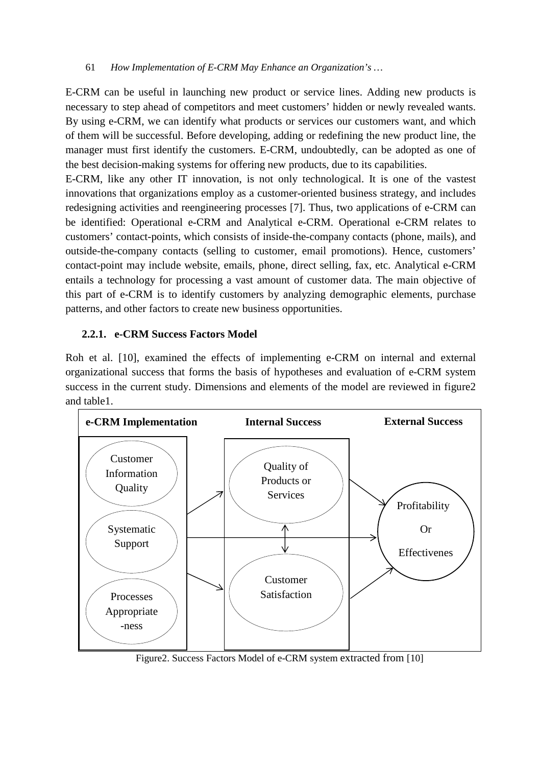E-CRM can be useful in launching new product or service lines. Adding new products is necessary to step ahead of competitors and meet customers' hidden or newly revealed wants. By using e-CRM, we can identify what products or services our customers want, and which of them will be successful. Before developing, adding or redefining the new product line, the manager must first identify the customers. E-CRM, undoubtedly, can be adopted as one of the best decision-making systems for offering new products, due to its capabilities.

E-CRM, like any other IT innovation, is not only technological. It is one of the vastest innovations that organizations employ as a customer-oriented business strategy, and includes redesigning activities and reengineering processes [7]. Thus, two applications of e-CRM can be identified: Operational e-CRM and Analytical e-CRM. Operational e-CRM relates to customers' contact-points, which consists of inside-the-company contacts (phone, mails), and outside-the-company contacts (selling to customer, email promotions). Hence, customers' contact-point may include website, emails, phone, direct selling, fax, etc. Analytical e-CRM entails a technology for processing a vast amount of customer data. The main objective of this part of e-CRM is to identify customers by analyzing demographic elements, purchase patterns, and other factors to create new business opportunities.

## **2.2.1. e-CRM Success Factors Model**

Roh et al. [10], examined the effects of implementing e-CRM on internal and external organizational success that forms the basis of hypotheses and evaluation of e-CRM system success in the current study. Dimensions and elements of the model are reviewed in figure2 and table1.



Figure2. Success Factors Model of e-CRM system extracted from [10]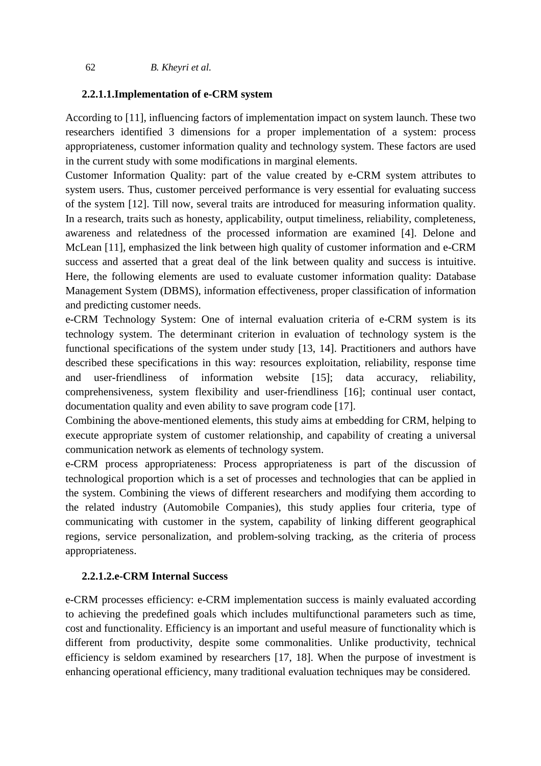## **2.2.1.1.Implementation of e-CRM system**

According to [11], influencing factors of implementation impact on system launch. These two researchers identified 3 dimensions for a proper implementation of a system: process appropriateness, customer information quality and technology system. These factors are used in the current study with some modifications in marginal elements.

Customer Information Quality: part of the value created by e-CRM system attributes to system users. Thus, customer perceived performance is very essential for evaluating success of the system [12]. Till now, several traits are introduced for measuring information quality. In a research, traits such as honesty, applicability, output timeliness, reliability, completeness, awareness and relatedness of the processed information are examined [4]. Delone and McLean [11], emphasized the link between high quality of customer information and e-CRM success and asserted that a great deal of the link between quality and success is intuitive. Here, the following elements are used to evaluate customer information quality: Database Management System (DBMS), information effectiveness, proper classification of information and predicting customer needs.

e-CRM Technology System: One of internal evaluation criteria of e-CRM system is its technology system. The determinant criterion in evaluation of technology system is the functional specifications of the system under study [13, 14]. Practitioners and authors have described these specifications in this way: resources exploitation, reliability, response time and user-friendliness of information website [15]; data accuracy, reliability, comprehensiveness, system flexibility and user-friendliness [16]; continual user contact, documentation quality and even ability to save program code [17].

Combining the above-mentioned elements, this study aims at embedding for CRM, helping to execute appropriate system of customer relationship, and capability of creating a universal communication network as elements of technology system.

e-CRM process appropriateness: Process appropriateness is part of the discussion of technological proportion which is a set of processes and technologies that can be applied in the system. Combining the views of different researchers and modifying them according to the related industry (Automobile Companies), this study applies four criteria, type of communicating with customer in the system, capability of linking different geographical regions, service personalization, and problem-solving tracking, as the criteria of process appropriateness.

## **2.2.1.2.e-CRM Internal Success**

e-CRM processes efficiency: e-CRM implementation success is mainly evaluated according to achieving the predefined goals which includes multifunctional parameters such as time, cost and functionality. Efficiency is an important and useful measure of functionality which is different from productivity, despite some commonalities. Unlike productivity, technical efficiency is seldom examined by researchers [17, 18]. When the purpose of investment is enhancing operational efficiency, many traditional evaluation techniques may be considered.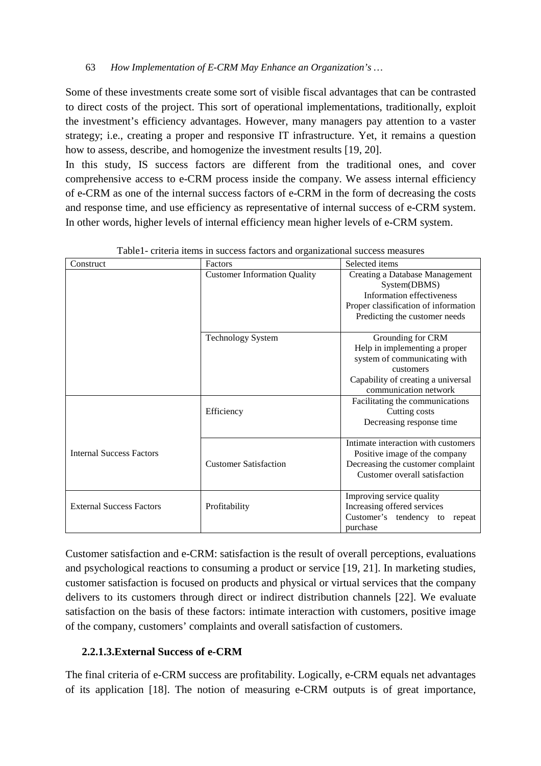Some of these investments create some sort of visible fiscal advantages that can be contrasted to direct costs of the project. This sort of operational implementations, traditionally, exploit the investment's efficiency advantages. However, many managers pay attention to a vaster strategy; i.e., creating a proper and responsive IT infrastructure. Yet, it remains a question how to assess, describe, and homogenize the investment results [19, 20].

In this study, IS success factors are different from the traditional ones, and cover comprehensive access to e-CRM process inside the company. We assess internal efficiency of e-CRM as one of the internal success factors of e-CRM in the form of decreasing the costs and response time, and use efficiency as representative of internal success of e-CRM system. In other words, higher levels of internal efficiency mean higher levels of e-CRM system.

| Construct                       | Factors                             | Selected items                       |  |  |
|---------------------------------|-------------------------------------|--------------------------------------|--|--|
|                                 | <b>Customer Information Quality</b> | Creating a Database Management       |  |  |
|                                 |                                     | System(DBMS)                         |  |  |
|                                 |                                     | <b>Information effectiveness</b>     |  |  |
|                                 |                                     | Proper classification of information |  |  |
|                                 |                                     | Predicting the customer needs        |  |  |
|                                 | <b>Technology System</b>            | Grounding for CRM                    |  |  |
|                                 |                                     | Help in implementing a proper        |  |  |
|                                 |                                     | system of communicating with         |  |  |
|                                 |                                     | customers                            |  |  |
|                                 |                                     | Capability of creating a universal   |  |  |
|                                 |                                     | communication network                |  |  |
|                                 |                                     | Facilitating the communications      |  |  |
|                                 | Efficiency                          | Cutting costs                        |  |  |
|                                 |                                     | Decreasing response time             |  |  |
|                                 |                                     | Intimate interaction with customers  |  |  |
| <b>Internal Success Factors</b> |                                     | Positive image of the company        |  |  |
|                                 | <b>Customer Satisfaction</b>        | Decreasing the customer complaint    |  |  |
|                                 |                                     | Customer overall satisfaction        |  |  |
|                                 |                                     | Improving service quality            |  |  |
| <b>External Success Factors</b> | Profitability                       | Increasing offered services          |  |  |
|                                 |                                     | Customer's tendency to<br>repeat     |  |  |
|                                 |                                     | purchase                             |  |  |

Table1- criteria items in success factors and organizational success measures

Customer satisfaction and e-CRM: satisfaction is the result of overall perceptions, evaluations and psychological reactions to consuming a product or service [19, 21]. In marketing studies, customer satisfaction is focused on products and physical or virtual services that the company delivers to its customers through direct or indirect distribution channels [22]. We evaluate satisfaction on the basis of these factors: intimate interaction with customers, positive image of the company, customers' complaints and overall satisfaction of customers.

## **2.2.1.3.External Success of e-CRM**

The final criteria of e-CRM success are profitability. Logically, e-CRM equals net advantages of its application [18]. The notion of measuring e-CRM outputs is of great importance,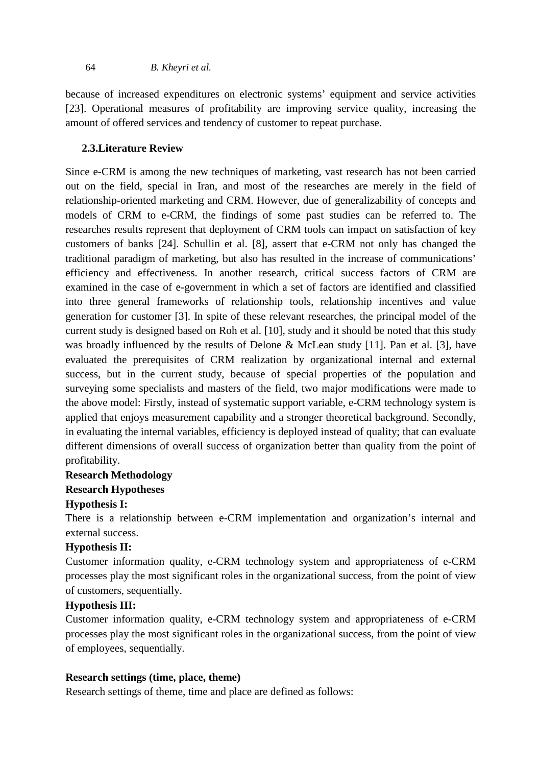because of increased expenditures on electronic systems' equipment and service activities [23]. Operational measures of profitability are improving service quality, increasing the amount of offered services and tendency of customer to repeat purchase.

## **2.3.Literature Review**

Since e-CRM is among the new techniques of marketing, vast research has not been carried out on the field, special in Iran, and most of the researches are merely in the field of relationship-oriented marketing and CRM. However, due of generalizability of concepts and models of CRM to e-CRM, the findings of some past studies can be referred to. The researches results represent that deployment of CRM tools can impact on satisfaction of key customers of banks [24]. Schullin et al. [8], assert that e-CRM not only has changed the traditional paradigm of marketing, but also has resulted in the increase of communications' efficiency and effectiveness. In another research, critical success factors of CRM are examined in the case of e-government in which a set of factors are identified and classified into three general frameworks of relationship tools, relationship incentives and value generation for customer [3]. In spite of these relevant researches, the principal model of the current study is designed based on Roh et al. [10], study and it should be noted that this study was broadly influenced by the results of Delone & McLean study [11]. Pan et al. [3], have evaluated the prerequisites of CRM realization by organizational internal and external success, but in the current study, because of special properties of the population and surveying some specialists and masters of the field, two major modifications were made to the above model: Firstly, instead of systematic support variable, e-CRM technology system is applied that enjoys measurement capability and a stronger theoretical background. Secondly, in evaluating the internal variables, efficiency is deployed instead of quality; that can evaluate different dimensions of overall success of organization better than quality from the point of profitability.

## **Research Methodology**

## **Research Hypotheses**

### **Hypothesis I:**

There is a relationship between e-CRM implementation and organization's internal and external success.

## **Hypothesis II:**

Customer information quality, e-CRM technology system and appropriateness of e-CRM processes play the most significant roles in the organizational success, from the point of view of customers, sequentially.

## **Hypothesis III:**

Customer information quality, e-CRM technology system and appropriateness of e-CRM processes play the most significant roles in the organizational success, from the point of view of employees, sequentially.

## **Research settings (time, place, theme)**

Research settings of theme, time and place are defined as follows: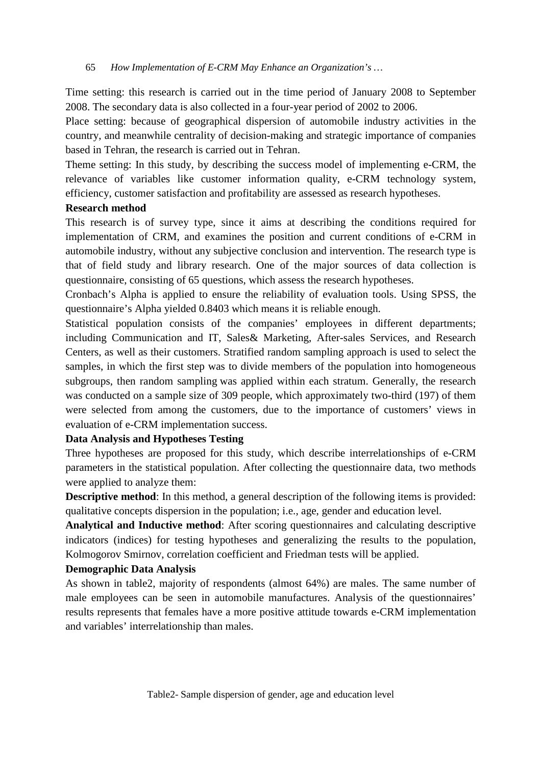Time setting: this research is carried out in the time period of January 2008 to September 2008. The secondary data is also collected in a four-year period of 2002 to 2006.

Place setting: because of geographical dispersion of automobile industry activities in the country, and meanwhile centrality of decision-making and strategic importance of companies based in Tehran, the research is carried out in Tehran.

Theme setting: In this study, by describing the success model of implementing e-CRM, the relevance of variables like customer information quality, e-CRM technology system, efficiency, customer satisfaction and profitability are assessed as research hypotheses.

### **Research method**

This research is of survey type, since it aims at describing the conditions required for implementation of CRM, and examines the position and current conditions of e-CRM in automobile industry, without any subjective conclusion and intervention. The research type is that of field study and library research. One of the major sources of data collection is questionnaire, consisting of 65 questions, which assess the research hypotheses.

Cronbach's Alpha is applied to ensure the reliability of evaluation tools. Using SPSS, the questionnaire's Alpha yielded 0.8403 which means it is reliable enough.

Statistical population consists of the companies' employees in different departments; including Communication and IT, Sales& Marketing, After-sales Services, and Research Centers, as well as their customers. Stratified random sampling approach is used to select the samples, in which the first step was to divide members of the population into homogeneous subgroups, then random sampling was applied within each stratum. Generally, the research was conducted on a sample size of 309 people, which approximately two-third (197) of them were selected from among the customers, due to the importance of customers' views in evaluation of e-CRM implementation success.

## **Data Analysis and Hypotheses Testing**

Three hypotheses are proposed for this study, which describe interrelationships of e-CRM parameters in the statistical population. After collecting the questionnaire data, two methods were applied to analyze them:

**Descriptive method**: In this method, a general description of the following items is provided: qualitative concepts dispersion in the population; i.e., age, gender and education level.

**Analytical and Inductive method**: After scoring questionnaires and calculating descriptive indicators (indices) for testing hypotheses and generalizing the results to the population, Kolmogorov Smirnov, correlation coefficient and Friedman tests will be applied.

## **Demographic Data Analysis**

As shown in table2, majority of respondents (almost 64%) are males. The same number of male employees can be seen in automobile manufactures. Analysis of the questionnaires' results represents that females have a more positive attitude towards e-CRM implementation and variables' interrelationship than males.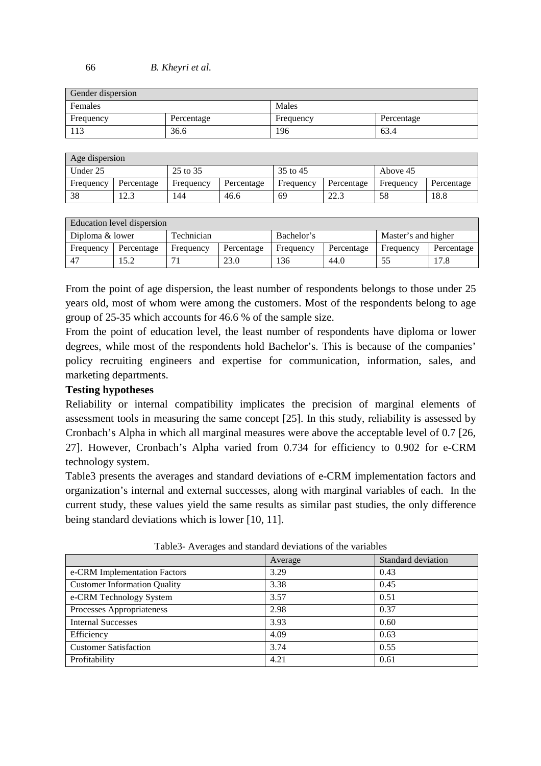#### 66 *B. Kheyri et al.*

| Gender dispersion |            |           |            |  |  |  |
|-------------------|------------|-----------|------------|--|--|--|
| Females           |            | Males     |            |  |  |  |
| Frequency         | Percentage | Frequency | Percentage |  |  |  |
| 113               | 36.6       | 196       | 63.4       |  |  |  |

| Age dispersion |                |           |            |           |            |           |            |
|----------------|----------------|-----------|------------|-----------|------------|-----------|------------|
| Under 25       |                | 25 to 35  |            | 35 to 45  |            | Above 45  |            |
| Frequency      | Percentage     | Frequency | Percentage | Frequency | Percentage | Frequency | Percentage |
| 38             | r 1 2<br>ل و ک | 144       | 46.6       | 69        | 22.3       | 58        | 18.8       |

|                 | Education level dispersion |            |            |            |            |                     |            |
|-----------------|----------------------------|------------|------------|------------|------------|---------------------|------------|
| Diploma & lower |                            | Technician |            | Bachelor's |            | Master's and higher |            |
| Frequency       | Percentage                 | Frequency  | Percentage | Frequency  | Percentage | Frequency           | Percentage |
| -47             | 15.2                       |            | 23.0       | 136        | 44.0       | 55                  | 17.8       |

From the point of age dispersion, the least number of respondents belongs to those under 25 years old, most of whom were among the customers. Most of the respondents belong to age group of 25-35 which accounts for 46.6 % of the sample size.

From the point of education level, the least number of respondents have diploma or lower degrees, while most of the respondents hold Bachelor's. This is because of the companies' policy recruiting engineers and expertise for communication, information, sales, and marketing departments.

### **Testing hypotheses**

Reliability or internal compatibility implicates the precision of marginal elements of assessment tools in measuring the same concept [25]. In this study, reliability is assessed by Cronbach's Alpha in which all marginal measures were above the acceptable level of 0.7 [26, 27]. However, Cronbach's Alpha varied from 0.734 for efficiency to 0.902 for e-CRM technology system.

Table3 presents the averages and standard deviations of e-CRM implementation factors and organization's internal and external successes, along with marginal variables of each. In the current study, these values yield the same results as similar past studies, the only difference being standard deviations which is lower [10, 11].

| 1.001   |                    |  |  |  |  |
|---------|--------------------|--|--|--|--|
| Average | Standard deviation |  |  |  |  |
| 3.29    | 0.43               |  |  |  |  |
| 3.38    | 0.45               |  |  |  |  |
| 3.57    | 0.51               |  |  |  |  |
| 2.98    | 0.37               |  |  |  |  |
| 3.93    | 0.60               |  |  |  |  |
| 4.09    | 0.63               |  |  |  |  |
| 3.74    | 0.55               |  |  |  |  |
| 4.21    | 0.61               |  |  |  |  |
|         |                    |  |  |  |  |

Table3- Averages and standard deviations of the variables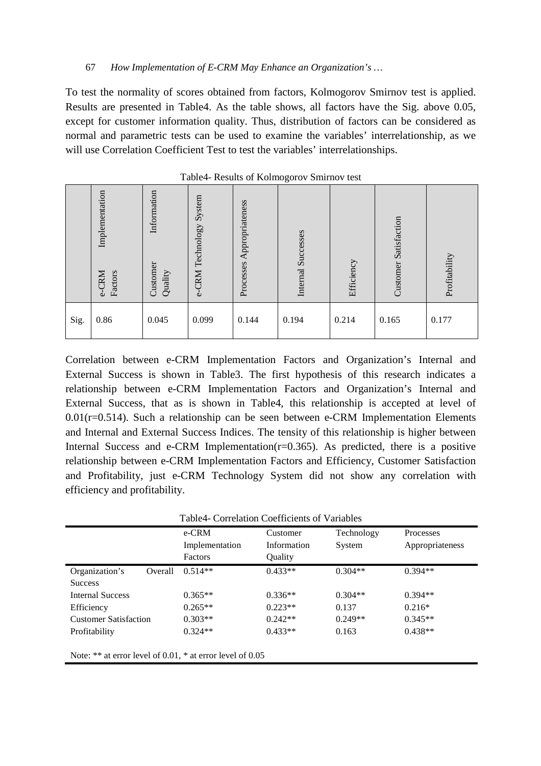To test the normality of scores obtained from factors, Kolmogorov Smirnov test is applied. Results are presented in Table4. As the table shows, all factors have the Sig. above 0.05, except for customer information quality. Thus, distribution of factors can be considered as normal and parametric tests can be used to examine the variables' interrelationship, as we will use Correlation Coefficient Test to test the variables' interrelationships.

|      | Implementation<br>Factors<br>e-CRM | Information<br>Customer<br>Quality | System<br>e-CRM Technology | Processes Appropriateness | Successes<br>Internal | Efficiency | <b>Customer Satisfaction</b> | Profitability |
|------|------------------------------------|------------------------------------|----------------------------|---------------------------|-----------------------|------------|------------------------------|---------------|
| Sig. | 0.86                               | 0.045                              | 0.099                      | 0.144                     | 0.194                 | 0.214      | 0.165                        | 0.177         |

Table4- Results of Kolmogorov Smirnov test

Correlation between e-CRM Implementation Factors and Organization's Internal and External Success is shown in Table3. The first hypothesis of this research indicates a relationship between e-CRM Implementation Factors and Organization's Internal and External Success, that as is shown in Table4, this relationship is accepted at level of  $0.01(r=0.514)$ . Such a relationship can be seen between e-CRM Implementation Elements and Internal and External Success Indices. The tensity of this relationship is higher between Internal Success and e-CRM Implementation( $r=0.365$ ). As predicted, there is a positive relationship between e-CRM Implementation Factors and Efficiency, Customer Satisfaction and Profitability, just e-CRM Technology System did not show any correlation with efficiency and profitability.

|                              |         | e-CRM          | Customer    | Technology | Processes       |
|------------------------------|---------|----------------|-------------|------------|-----------------|
|                              |         | Implementation | Information | System     | Appropriateness |
|                              |         | Factors        | Quality     |            |                 |
| Organization's               | Overall | $0.514**$      | $0.433**$   | $0.304**$  | $0.394**$       |
| <b>Success</b>               |         |                |             |            |                 |
| <b>Internal Success</b>      |         | $0.365**$      | $0.336**$   | $0.304**$  | $0.394**$       |
| Efficiency                   |         | $0.265**$      | $0.223**$   | 0.137      | $0.216*$        |
| <b>Customer Satisfaction</b> |         | $0.303**$      | $0.242**$   | $0.249**$  | $0.345**$       |
| Profitability                |         | $0.324**$      | $0.433**$   | 0.163      | $0.438**$       |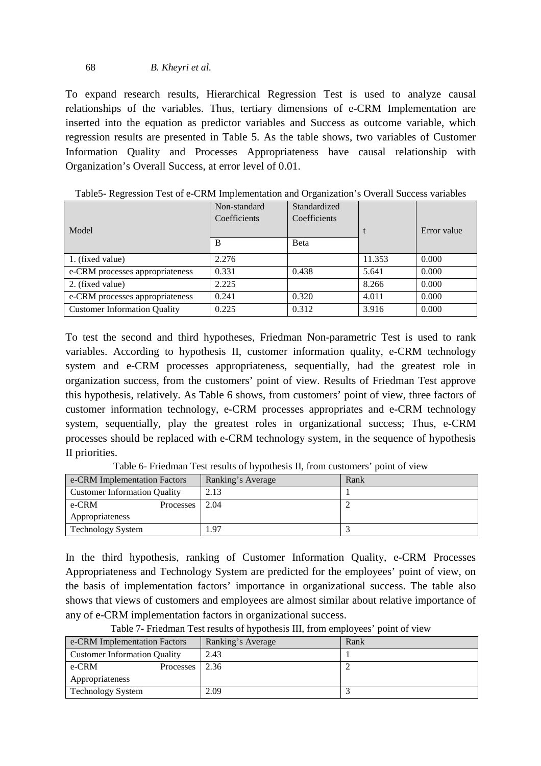### 68 *B. Kheyri et al.*

To expand research results, Hierarchical Regression Test is used to analyze causal relationships of the variables. Thus, tertiary dimensions of e-CRM Implementation are inserted into the equation as predictor variables and Success as outcome variable, which regression results are presented in Table 5. As the table shows, two variables of Customer Information Quality and Processes Appropriateness have causal relationship with Organization's Overall Success, at error level of 0.01.

|                                     | Non-standard | Standardized |        |             |
|-------------------------------------|--------------|--------------|--------|-------------|
|                                     | Coefficients | Coefficients |        |             |
| Model                               |              |              |        | Error value |
|                                     | B            | <b>B</b> eta |        |             |
| 1. (fixed value)                    | 2.276        |              | 11.353 | 0.000       |
| e-CRM processes appropriateness     | 0.331        | 0.438        | 5.641  | 0.000       |
| 2. (fixed value)                    | 2.225        |              | 8.266  | 0.000       |
| e-CRM processes appropriateness     | 0.241        | 0.320        | 4.011  | 0.000       |
| <b>Customer Information Quality</b> | 0.225        | 0.312        | 3.916  | 0.000       |

Table5- Regression Test of e-CRM Implementation and Organization's Overall Success variables

To test the second and third hypotheses, Friedman Non-parametric Test is used to rank variables. According to hypothesis II, customer information quality, e-CRM technology system and e-CRM processes appropriateness, sequentially, had the greatest role in organization success, from the customers' point of view. Results of Friedman Test approve this hypothesis, relatively. As Table 6 shows, from customers' point of view, three factors of customer information technology, e-CRM processes appropriates and e-CRM technology system, sequentially, play the greatest roles in organizational success; Thus, e-CRM processes should be replaced with e-CRM technology system, in the sequence of hypothesis II priorities.

| e-CRM Implementation Factors        |           | Ranking's Average | Rank |
|-------------------------------------|-----------|-------------------|------|
| <b>Customer Information Quality</b> |           | 2.13              |      |
| e-CRM                               | Processes | 2.04              |      |
| Appropriateness                     |           |                   |      |
| <b>Technology System</b>            |           | 1.97              |      |

Table 6- Friedman Test results of hypothesis II, from customers' point of view

In the third hypothesis, ranking of Customer Information Quality, e-CRM Processes Appropriateness and Technology System are predicted for the employees' point of view, on the basis of implementation factors' importance in organizational success. The table also shows that views of customers and employees are almost similar about relative importance of any of e-CRM implementation factors in organizational success.

| $\mathbf{r}$ and $\mathbf{r}$ are all $\mathbf{r}$ and $\mathbf{r}$ are $\mathbf{r}$ and $\mathbf{r}$ are $\mathbf{r}$ and $\mathbf{r}$ and $\mathbf{r}$ are $\mathbf{r}$ and $\mathbf{r}$ and $\mathbf{r}$ are $\mathbf{r}$ and $\mathbf{r}$ and $\mathbf{r}$ are $\mathbf{r}$ and $\mathbf{r}$ |                   |      |  |  |  |
|--------------------------------------------------------------------------------------------------------------------------------------------------------------------------------------------------------------------------------------------------------------------------------------------------|-------------------|------|--|--|--|
| e-CRM Implementation Factors                                                                                                                                                                                                                                                                     | Ranking's Average | Rank |  |  |  |
| <b>Customer Information Quality</b>                                                                                                                                                                                                                                                              | 2.43              |      |  |  |  |
| e-CRM<br>Processes                                                                                                                                                                                                                                                                               | 2.36              |      |  |  |  |
| Appropriateness                                                                                                                                                                                                                                                                                  |                   |      |  |  |  |
| <b>Technology System</b>                                                                                                                                                                                                                                                                         | 2.09              |      |  |  |  |

Table 7- Friedman Test results of hypothesis III, from employees' point of view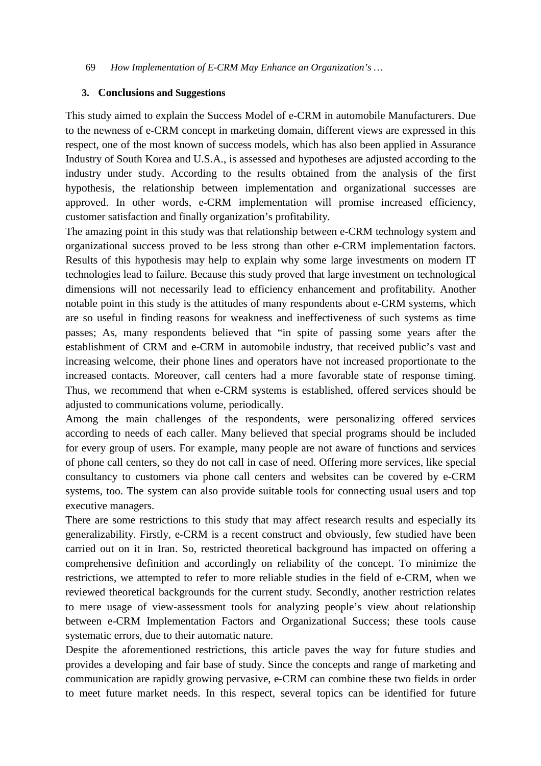#### **3. Conclusions and Suggestions**

This study aimed to explain the Success Model of e-CRM in automobile Manufacturers. Due to the newness of e-CRM concept in marketing domain, different views are expressed in this respect, one of the most known of success models, which has also been applied in Assurance Industry of South Korea and U.S.A., is assessed and hypotheses are adjusted according to the industry under study. According to the results obtained from the analysis of the first hypothesis, the relationship between implementation and organizational successes are approved. In other words, e-CRM implementation will promise increased efficiency, customer satisfaction and finally organization's profitability.

The amazing point in this study was that relationship between e-CRM technology system and organizational success proved to be less strong than other e-CRM implementation factors. Results of this hypothesis may help to explain why some large investments on modern IT technologies lead to failure. Because this study proved that large investment on technological dimensions will not necessarily lead to efficiency enhancement and profitability. Another notable point in this study is the attitudes of many respondents about e-CRM systems, which are so useful in finding reasons for weakness and ineffectiveness of such systems as time passes; As, many respondents believed that "in spite of passing some years after the establishment of CRM and e-CRM in automobile industry, that received public's vast and increasing welcome, their phone lines and operators have not increased proportionate to the increased contacts. Moreover, call centers had a more favorable state of response timing. Thus, we recommend that when e-CRM systems is established, offered services should be adjusted to communications volume, periodically.

Among the main challenges of the respondents, were personalizing offered services according to needs of each caller. Many believed that special programs should be included for every group of users. For example, many people are not aware of functions and services of phone call centers, so they do not call in case of need. Offering more services, like special consultancy to customers via phone call centers and websites can be covered by e-CRM systems, too. The system can also provide suitable tools for connecting usual users and top executive managers.

There are some restrictions to this study that may affect research results and especially its generalizability. Firstly, e-CRM is a recent construct and obviously, few studied have been carried out on it in Iran. So, restricted theoretical background has impacted on offering a comprehensive definition and accordingly on reliability of the concept. To minimize the restrictions, we attempted to refer to more reliable studies in the field of e-CRM, when we reviewed theoretical backgrounds for the current study. Secondly, another restriction relates to mere usage of view-assessment tools for analyzing people's view about relationship between e-CRM Implementation Factors and Organizational Success; these tools cause systematic errors, due to their automatic nature.

Despite the aforementioned restrictions, this article paves the way for future studies and provides a developing and fair base of study. Since the concepts and range of marketing and communication are rapidly growing pervasive, e-CRM can combine these two fields in order to meet future market needs. In this respect, several topics can be identified for future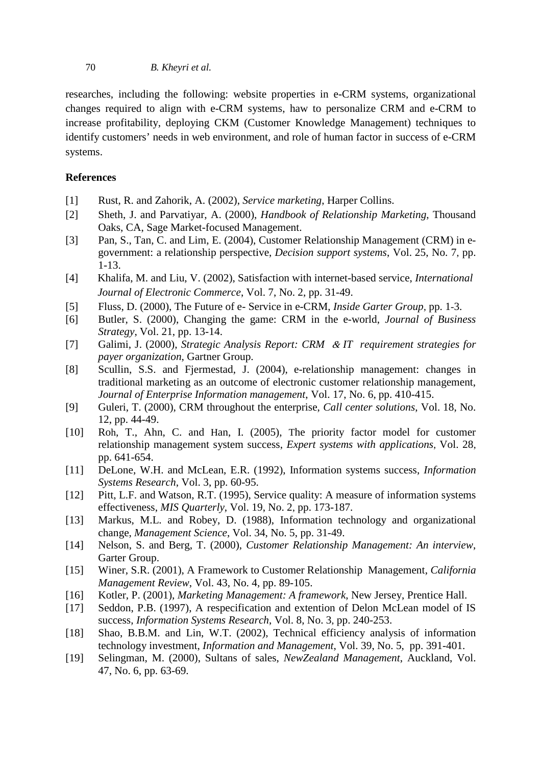#### 70 *B. Kheyri et al.*

researches, including the following: website properties in e-CRM systems, organizational changes required to align with e-CRM systems, haw to personalize CRM and e-CRM to increase profitability, deploying CKM (Customer Knowledge Management) techniques to identify customers' needs in web environment, and role of human factor in success of e-CRM systems.

## **References**

- [1] Rust, R. and Zahorik, A. (2002), *Service marketing*, Harper Collins.
- [2] Sheth, J. and Parvatiyar, A. (2000), *Handbook of Relationship Marketing*, Thousand Oaks, CA, Sage Market-focused Management.
- [3] Pan, S., Tan, C. and Lim, E. (2004), Customer Relationship Management (CRM) in egovernment: a relationship perspective, *Decision support systems*, Vol. 25, No. 7, pp. 1-13.
- [4] Khalifa, M. and Liu, V. (2002), Satisfaction with internet-based service, *International Journal of Electronic Commerce*, Vol. 7, No. 2, pp. 31-49.
- [5] Fluss, D. (2000), The Future of e- Service in e-CRM, *Inside Garter Group*, pp. 1-3.
- [6] Butler, S. (2000), Changing the game: CRM in the e-world, *Journal of Business Strategy*, Vol. 21, pp. 13-14.
- [7] Galimi, J. (2000), *Strategic Analysis Report: CRM* & *IT requirement strategies for payer organization*, Gartner Group.
- [8] Scullin, S.S. and Fjermestad, J. (2004), e-relationship management: changes in traditional marketing as an outcome of electronic customer relationship management, *Journal of Enterprise Information management*, Vol. 17, No. 6, pp. 410-415.
- [9] Guleri, T. (2000), CRM throughout the enterprise, *Call center solutions*, Vol. 18, No. 12, pp. 44-49.
- [10] Roh, T., Ahn, C. and Han, I. (2005), The priority factor model for customer relationship management system success, *Expert systems with applications* , Vol. 28, pp. 641-654.
- [11] DeLone, W.H. and McLean, E.R. (1992), Information systems success, *Information Systems Research*, Vol. 3, pp. 60-95.
- [12] Pitt, L.F. and Watson, R.T. (1995), Service quality: A measure of information systems effectiveness, *MIS Quarterly*, Vol. 19, No. 2, pp. 173-187.
- [13] Markus, M.L. and Robey, D. (1988), Information technology and organizational change, *Management Science*, Vol. 34, No. 5, pp. 31-49.
- [14] Nelson, S. and Berg, T. (2000), *Customer Relationship Management: An interview*, Garter Group.
- [15] Winer, S.R. (2001), A Framework to Customer Relationship Management, *California Management Review*, Vol. 43, No. 4, pp. 89-105.
- [16] Kotler, P. (2001), *Marketing Management: A framework*, New Jersey, Prentice Hall.
- [17] Seddon, P.B. (1997), A respecification and extention of Delon McLean model of IS success, *Information Systems Research*, Vol. 8, No. 3, pp. 240-253.
- [18] Shao, B.B.M. and Lin, W.T. (2002), Technical efficiency analysis of information technology investment, *Information and Management*, Vol. 39, No. 5, pp. 391-401.
- [19] Selingman, M. (2000), Sultans of sales, *NewZealand Management*, Auckland, Vol. 47, No. 6, pp. 63-69.